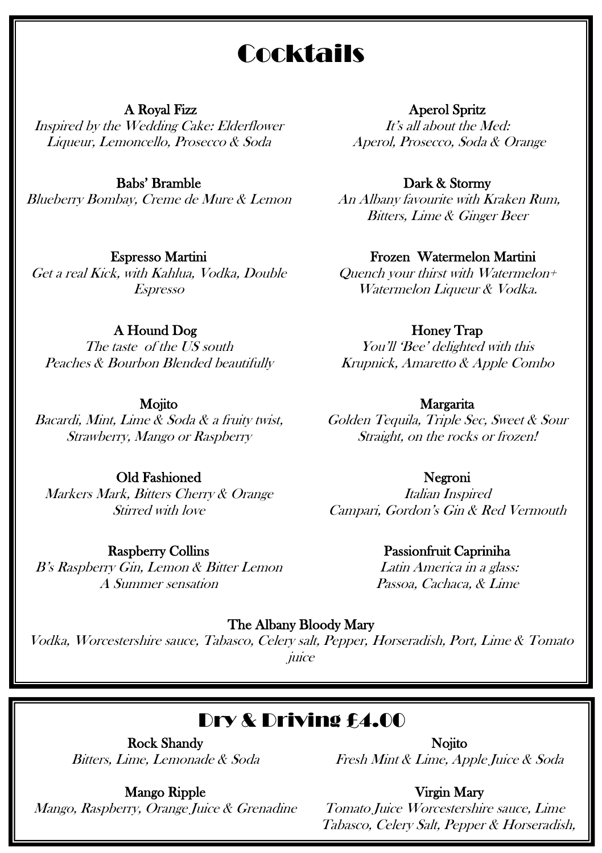# **Cocktails**

#### A Royal Fizz

Inspired by the Wedding Cake: Elderflower Liqueur, Lemoncello, Prosecco & Soda

#### Babs' Bramble

Blueberry Bombay, Creme de Mure & Lemon

## Espresso Martini

Get a real Kick, with Kahlua, Vodka, Double Espresso

## A Hound Dog

The taste of the US south Peaches & Bourbon Blended beautifully

#### Mojito

Bacardi, Mint, Lime & Soda & a fruity twist, Strawberry, Mango or Raspberry

#### Old Fashioned

Markers Mark, Bitters Cherry & Orange Stirred with love

### Raspberry Collins

B's Raspberry Gin, Lemon & Bitter Lemon A Summer sensation

#### Aperol Spritz

It's all about the Med: Aperol, Prosecco, Soda & Orange

#### Dark & Stormy

An Albany favourite with Kraken Rum, Bitters, Lime & Ginger Beer

#### Frozen Watermelon Martini

Quench your thirst with Watermelon+ Watermelon Liqueur & Vodka.

#### Honey Trap

You'll 'Bee' delighted with this Krupnick, Amaretto & Apple Combo

#### Margarita

Golden Tequila, Triple Sec, Sweet & Sour Straight, on the rocks or frozen!

#### Negroni

Italian Inspired Campari, Gordon's Gin & Red Vermouth

### Passionfruit Capriniha

Latin America in a glass: Passoa, Cachaca, & Lime

#### The Albany Bloody Mary

Vodka, Worcestershire sauce, Tabasco, Celery salt, Pepper, Horseradish, Port, Lime & Tomato juice

## Dry & Driving £4.00

Rock Shandy Bitters, Lime, Lemonade & Soda

Nojito Fresh Mint & Lime, Apple Juice & Soda

Mango Ripple Mango, Raspberry, Orange Juice & Grenadine Virgin Mary

Tomato Juice Worcestershire sauce, Lime Tabasco, Celery Salt, Pepper & Horseradish,